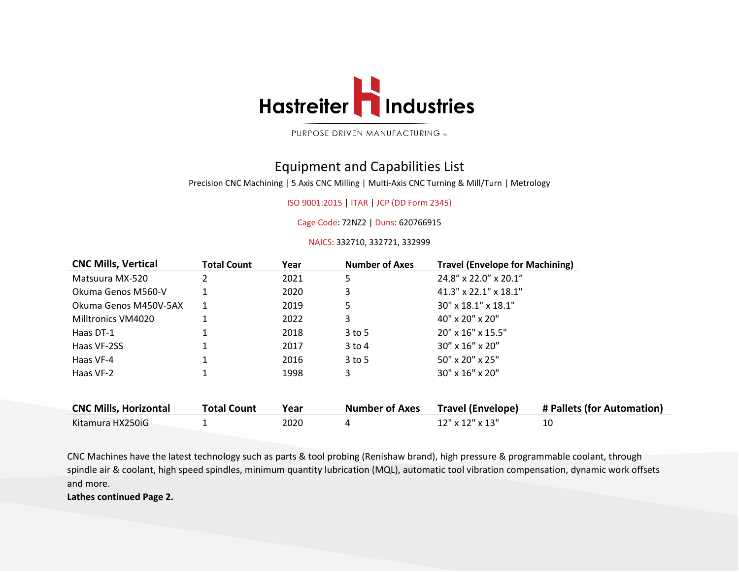

PURPOSE DRIVEN MANUFACTURING M

## Equipment and Capabilities List

Precision CNC Machining | 5 Axis CNC Milling | Multi-Axis CNC Turning & Mill/Turn | Metrology

## ISO 9001:2015 | ITAR | JCP (DD Form 2345)

Cage Code: 72NZ2 | Duns: 620766915

NAICS: 332710, 332721, 332999

| <b>CNC Mills, Vertical</b>   | <b>Total Count</b> | Year | <b>Number of Axes</b> | <b>Travel (Envelope for Machining)</b> |                            |
|------------------------------|--------------------|------|-----------------------|----------------------------------------|----------------------------|
| Matsuura MX-520              |                    | 2021 | 5                     | 24.8" x 22.0" x 20.1"                  |                            |
| Okuma Genos M560-V           |                    | 2020 | 3                     | $41.3''$ x 22.1" x 18.1"               |                            |
| Okuma Genos M450V-5AX        |                    | 2019 | 5                     | $30''$ x $18.1''$ x $18.1''$           |                            |
| Milltronics VM4020           |                    | 2022 | 3                     | $40'' \times 20'' \times 20''$         |                            |
| Haas DT-1                    |                    | 2018 | $3$ to 5              | $20''$ x $16''$ x $15.5''$             |                            |
| Haas VF-2SS                  |                    | 2017 | $3$ to $4$            | $30'' \times 16'' \times 20''$         |                            |
| Haas VF-4                    |                    | 2016 | $3$ to 5              | $50'' \times 20'' \times 25''$         |                            |
| Haas VF-2                    |                    | 1998 | 3                     | $30'' \times 16'' \times 20''$         |                            |
|                              |                    |      |                       |                                        |                            |
| <b>CNC Mills, Horizontal</b> | <b>Total Count</b> | Year | <b>Number of Axes</b> | <b>Travel (Envelope)</b>               | # Pallets (for Automation) |
| Kitamura HX250iG             |                    | 2020 | 4                     | $12$ " x $12$ " x $13$ "               | 10                         |
|                              |                    |      |                       |                                        |                            |

CNC Machines have the latest technology such as parts & tool probing (Renishaw brand), high pressure & programmable coolant, through spindle air & coolant, high speed spindles, minimum quantity lubrication (MQL), automatic tool vibration compensation, dynamic work offsets and more.

**Lathes continued Page 2.**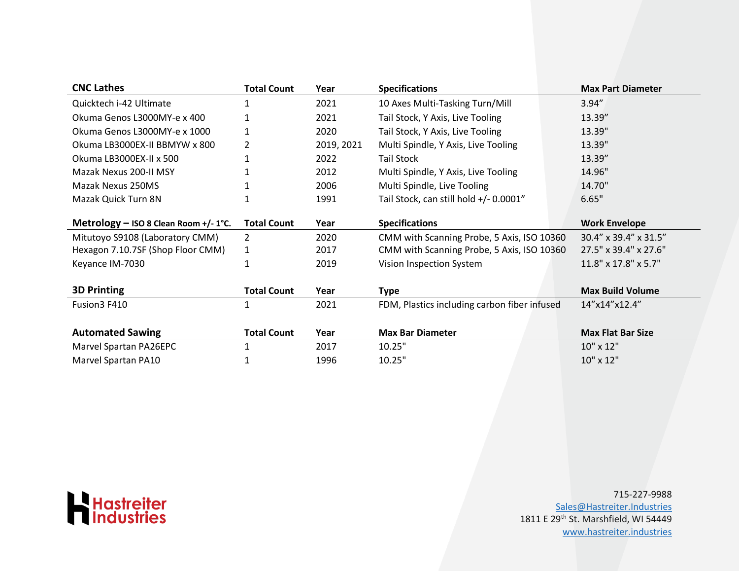| <b>CNC Lathes</b>                     | <b>Total Count</b> | Year       | <b>Specifications</b>                        | <b>Max Part Diameter</b> |
|---------------------------------------|--------------------|------------|----------------------------------------------|--------------------------|
| Quicktech i-42 Ultimate               |                    | 2021       | 10 Axes Multi-Tasking Turn/Mill              | 3.94''                   |
| Okuma Genos L3000MY-e x 400           |                    | 2021       | Tail Stock, Y Axis, Live Tooling             | 13.39"                   |
| Okuma Genos L3000MY-e x 1000          | 1                  | 2020       | Tail Stock, Y Axis, Live Tooling             | 13.39"                   |
| Okuma LB3000EX-II BBMYW x 800         | 2                  | 2019, 2021 | Multi Spindle, Y Axis, Live Tooling          | 13.39"                   |
| Okuma LB3000EX-II x 500               |                    | 2022       | <b>Tail Stock</b>                            | 13.39"                   |
| Mazak Nexus 200-II MSY                |                    | 2012       | Multi Spindle, Y Axis, Live Tooling          | 14.96"                   |
| Mazak Nexus 250MS                     |                    | 2006       | Multi Spindle, Live Tooling                  | 14.70"                   |
| Mazak Quick Turn 8N                   |                    | 1991       | Tail Stock, can still hold +/- 0.0001"       | 6.65"                    |
| Metrology - ISO 8 Clean Room +/- 1°C. | <b>Total Count</b> | Year       | <b>Specifications</b>                        | <b>Work Envelope</b>     |
| Mitutoyo S9108 (Laboratory CMM)       | 2                  | 2020       | CMM with Scanning Probe, 5 Axis, ISO 10360   | 30.4" x 39.4" x 31.5"    |
| Hexagon 7.10.7SF (Shop Floor CMM)     | 1                  | 2017       | CMM with Scanning Probe, 5 Axis, ISO 10360   | 27.5" x 39.4" x 27.6"    |
| Keyance IM-7030                       |                    | 2019       | Vision Inspection System                     | 11.8" x 17.8" x 5.7"     |
| <b>3D Printing</b>                    | <b>Total Count</b> | Year       | Type                                         | <b>Max Build Volume</b>  |
| Fusion3 F410                          |                    | 2021       | FDM, Plastics including carbon fiber infused | 14"x14"x12.4"            |
|                                       |                    |            |                                              |                          |
| <b>Automated Sawing</b>               | <b>Total Count</b> | Year       | <b>Max Bar Diameter</b>                      | <b>Max Flat Bar Size</b> |
| Marvel Spartan PA26EPC                |                    | 2017       | 10.25"                                       | 10" x 12"                |
| Marvel Spartan PA10                   |                    | 1996       | 10.25"                                       | 10" x 12"                |



715-227-9988 [Sales@Hastreiter.Industries](mailto:Sales@Hastreiter.Industries) 1811 E 29th St. Marshfield, WI 54449 [www.hastreiter.industries](http://www.hastreiter.industries/)